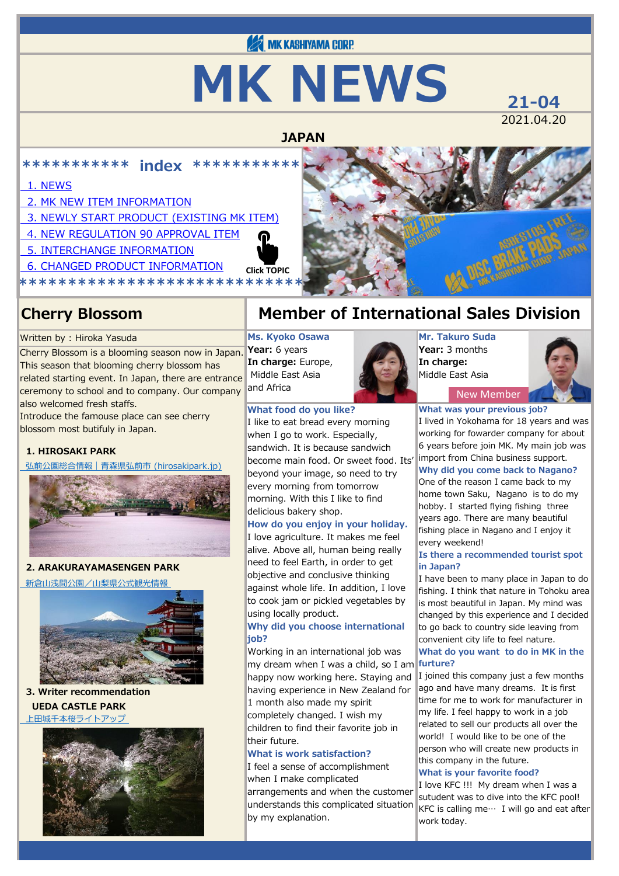# **EX MK KASHIYAMA CORP.**

# **MK NEWS** 21-04

2021.04.20

### **JAPAN**

**\*\*\*\*\*\*\*\*\*\*\* index \*\*\*\*\*\*\*\*\*\*\***

#### [1. NEWS](#page-0-0)

- [2. MK NEW ITEM INFORMATION](#page-1-0)
- [3. NEWLY START PRODUCT \(EXISTING MK ITEM\)](#page-2-0)
- [4. NEW REGULATION 90 APPROVAL ITEM](#page-2-1)
- [5. INTERCHANGE INFORMATION](#page-7-0)
- [6. CHANGED PRODUCT INFORMATION](#page-7-1)
- <span id="page-0-0"></span>**\*\*\*\*\*\*\*\*\*\*\*\*\*\*\*\*\*\*\*\*\*\*\*\*\*\*\*\*\* Click TOPIC**

#### Written by : Hiroka Yasuda

Cherry Blossom is a blooming season now in Japan. This season that blooming cherry blossom has related starting event. In Japan, there are entrance ceremony to school and to company. Our company also welcomed fresh staffs.

Introduce the famouse place can see cherry blossom most butifuly in Japan.

#### **1. HIROSAKI PARK**

 [弘前公園総合情報|青森県弘前市 \(hirosakipark.jp\)](https://www.hirosakipark.jp/)



#### **2. ARAKURAYAMASENGEN PARK**

 [新倉山浅間公園/山梨県公式観光情報](https://www.yamanashi-kankou.jp/kankou/spot/p1_4919.html) 



#### **3. Writer recommendation UEDA CASTLE PARK**

 [上田城千本桜ライトアップ](https://www.city.ueda.nagano.jp/soshiki/tosikei/5498.html) 



### **Cherry Blossom Member of International Sales Division**

**Ms. Kyoko Osawa Year:** 6 years **In charge:** Europe, Middle East Asia and Africa

#### **What food do you like?**

I like to eat bread every morning when I go to work. Especially, sandwich. It is because sandwich become main food. Or sweet food. Its' beyond your image, so need to try every morning from tomorrow morning. With this I like to find delicious bakery shop.

#### **How do you enjoy in your holiday.**

I love agriculture. It makes me feel alive. Above all, human being really need to feel Earth, in order to get objective and conclusive thinking against whole life. In addition, I love to cook jam or pickled vegetables by using locally product.

#### **Why did you choose international job?**

Working in an international job was my dream when I was a child, so I am happy now working here. Staying and having experience in New Zealand for 1 month also made my spirit

completely changed. I wish my children to find their favorite job in their future.

#### **What is work satisfaction?**

I feel a sense of accomplishment when I make complicated arrangements and when the customer understands this complicated situation by my explanation.



New Member

**What was your previous job?** I lived in Yokohama for 18 years and was working for fowarder company for about 6 years before join MK. My main job was import from China business support.

#### **Why did you come back to Nagano?**

One of the reason I came back to my home town Saku, Nagano is to do my hobby. I started flying fishing three years ago. There are many beautiful fishing place in Nagano and I enjoy it every weekend!

#### **Is there a recommended tourist spot in Japan?**

I have been to many place in Japan to do fishing. I think that nature in Tohoku area is most beautiful in Japan. My mind was changed by this experience and I decided to go back to country side leaving from convenient city life to feel nature. **What do you want to do in MK in the**

#### **furture?**

I joined this company just a few months ago and have many dreams. It is first time for me to work for manufacturer in my life. I feel happy to work in a job related to sell our products all over the world! I would like to be one of the person who will create new products in this company in the future.

#### **What is your favorite food?**

I love KFC !!! My dream when I was a sutudent was to dive into the KFC pool! KFC is calling me ··· I will go and eat after work today.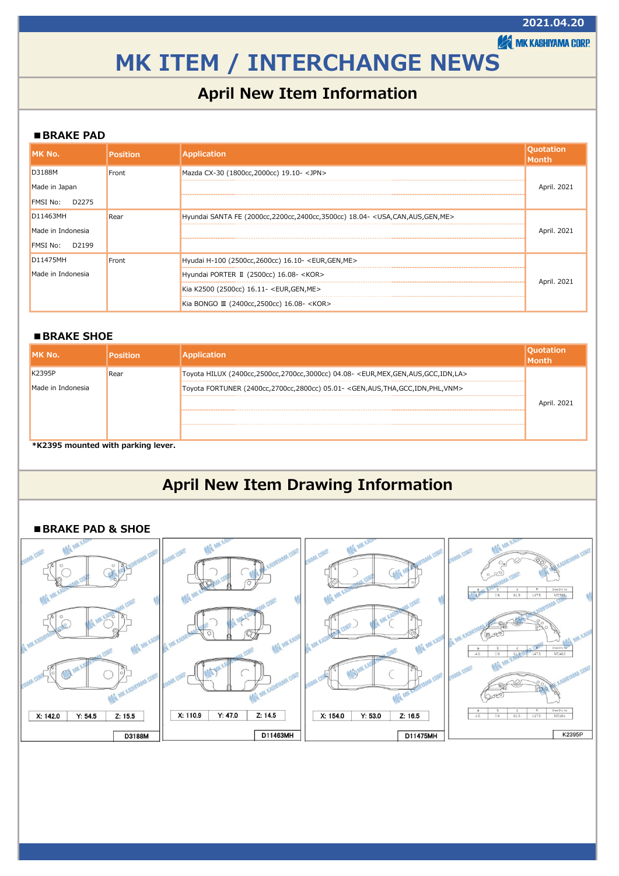**AMK KASHIYAMA CORP.** 

## <span id="page-1-0"></span>**MK ITEM / INTERCHANGE NEWS**

### **April New Item Information**

#### **■BRAKE PAD**

| MK No.                   | <b>Position</b> | <b>Application</b>                                                                 | <b>Ouotation</b><br><b>IMonth</b> |
|--------------------------|-----------------|------------------------------------------------------------------------------------|-----------------------------------|
| <b>D3188M</b>            | Front           | Mazda CX-30 (1800cc, 2000cc) 19.10- <jpn></jpn>                                    |                                   |
| Made in Japan            |                 |                                                                                    | April. 2021                       |
| D2275<br><b>FMSI No:</b> |                 |                                                                                    |                                   |
| D11463MH                 | Rear            | Hyundai SANTA FE (2000cc, 2200cc, 2400cc, 3500cc) 18.04- < USA, CAN, AUS, GEN, ME> |                                   |
| Made in Indonesia        |                 |                                                                                    | April, 2021                       |
| D2199<br><b>FMSI No:</b> |                 |                                                                                    |                                   |
| D11475MH                 | Front           | Hyudai H-100 (2500cc, 2600cc) 16.10- <eur, gen,="" me=""></eur,>                   |                                   |
| Made in Indonesia        |                 | Hyundai PORTER II (2500cc) 16.08- <kor></kor>                                      |                                   |
|                          |                 | Kia K2500 (2500cc) 16.11- <eur, gen,="" me=""></eur,>                              | April. 2021                       |
|                          |                 | Kia BONGO Ⅲ (2400cc, 2500cc) 16.08- <kor></kor>                                    |                                   |

#### **■BRAKE SHOE**

| IMK No.           | Position | <b>Application</b>                                                                                            | <b>Quotation</b><br><b>Month</b> |
|-------------------|----------|---------------------------------------------------------------------------------------------------------------|----------------------------------|
| K2395P            | Rear     | Toyota HILUX (2400cc,2500cc,2700cc,3000cc) 04.08- <eur, aus,="" gcc,="" gen,="" idn,="" la="" mex,=""></eur,> |                                  |
| Made in Indonesia |          | Toyota FORTUNER (2400cc,2700cc,2800cc) 05.01- <gen,aus,tha,gcc,idn,phl,vnm></gen,aus,tha,gcc,idn,phl,vnm>     |                                  |
|                   |          |                                                                                                               | April. 2021                      |
|                   |          |                                                                                                               |                                  |
|                   |          |                                                                                                               |                                  |

**\*K2395 mounted with parking lever.**

### **April New Item Drawing Information**

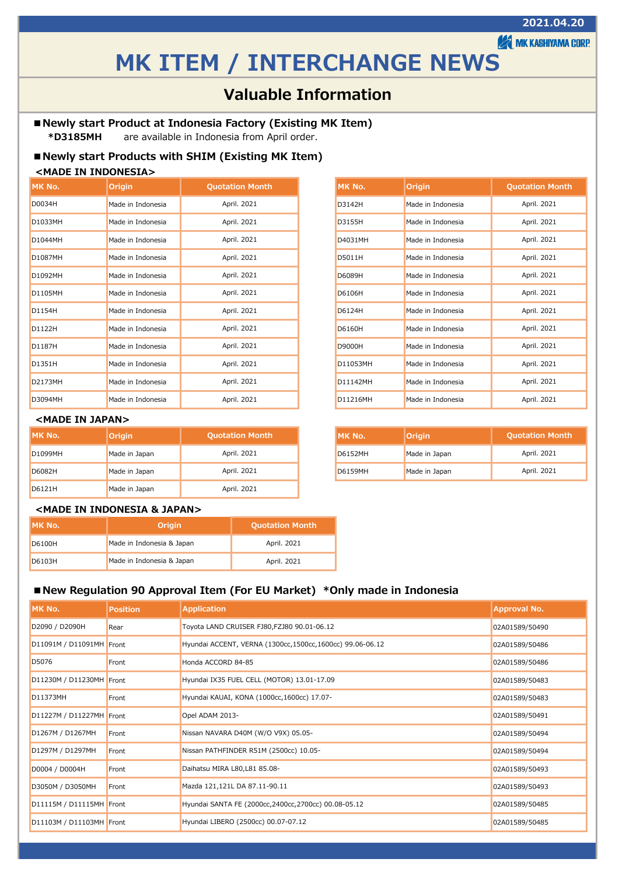**AMK KASHIYAMA CORP.** 

### **MK ITEM / INTERCHANGE NEWS**

### **Valuable Information**

#### <span id="page-2-0"></span>**■Newly start Product at Indonesia Factory (Existing MK Item)**

 **\*D3185MH** are available in Indonesia from April order.

#### **■Newly start Products with SHIM (Existing MK Item)**

#### **<MADE IN INDONESIA>**

| IMK No. | <b>Origin</b>     | <b>Quotation Month</b> |  |
|---------|-------------------|------------------------|--|
| D0034H  | Made in Indonesia | April. 2021            |  |
| D1033MH | Made in Indonesia | April. 2021            |  |
| D1044MH | Made in Indonesia | April. 2021            |  |
| D1087MH | Made in Indonesia | April. 2021            |  |
| D1092MH | Made in Indonesia | April. 2021            |  |
| D1105MH | Made in Indonesia | April. 2021            |  |
| D1154H  | Made in Indonesia | April. 2021            |  |
| D1122H  | Made in Indonesia | April. 2021            |  |
| D1187H  | Made in Indonesia | April. 2021            |  |
| D1351H  | Made in Indonesia | April. 2021            |  |
| D2173MH | Made in Indonesia | April. 2021            |  |
| D3094MH | Made in Indonesia | April. 2021            |  |

#### **<MADE IN JAPAN>**

| IMK No.        | Origin        | <b>Quotation Month</b> | IMK No.        | <b>Origin</b> |
|----------------|---------------|------------------------|----------------|---------------|
| <b>D1099MH</b> | Made in Japan | April. 2021            | <b>D6152MH</b> | Made in Japan |
| D6082H         | Made in Japan | April. 2021            | <b>D6159MH</b> | Made in Japan |
| D6121H         | Made in Japan | April. 2021            |                |               |

| MK No.   | Origin            | <b>Quotation Month</b> |
|----------|-------------------|------------------------|
| D3142H   | Made in Indonesia | April. 2021            |
| D3155H   | Made in Indonesia | April. 2021            |
| D4031MH  | Made in Indonesia | April. 2021            |
| D5011H   | Made in Indonesia | April. 2021            |
| D6089H   | Made in Indonesia | April. 2021            |
| D6106H   | Made in Indonesia | April. 2021            |
| D6124H   | Made in Indonesia | April. 2021            |
| D6160H   | Made in Indonesia | April. 2021            |
| D9000H   | Made in Indonesia | April. 2021            |
| D11053MH | Made in Indonesia | April. 2021            |
| D11142MH | Made in Indonesia | April. 2021            |
| D11216MH | Made in Indonesia | April. 2021            |

| tation Month | IMK No.        | <b>Origin</b> | <b>Quotation Month</b> |
|--------------|----------------|---------------|------------------------|
| April. 2021  | <b>D6152MH</b> | Made in Japan | April. 2021            |
| April. 2021  | <b>D6159MH</b> | Made in Japan | April, 2021            |

#### **<MADE IN INDONESIA & JAPAN>**

| IIMK No. | Origin                    | <b>Quotation Month</b> |
|----------|---------------------------|------------------------|
| D6100H   | Made in Indonesia & Japan | April. 2021            |
| D6103H   | Made in Indonesia & Japan | April. 2021            |

#### <span id="page-2-1"></span>**■New Regulation 90 Approval Item (For EU Market) \*Only made in Indonesia**

| IMK No.                  | Position | <b>Application</b>                                         | <b>Approval No.</b> |
|--------------------------|----------|------------------------------------------------------------|---------------------|
| D2090 / D2090H           | Rear     | Toyota LAND CRUISER FJ80, FZJ80 90.01-06.12                | 02A01589/50490      |
| D11091M / D11091MH Front |          | Hyundai ACCENT, VERNA (1300cc, 1500cc, 1600cc) 99.06-06.12 | 02A01589/50486      |
| D5076                    | Front    | Honda ACCORD 84-85                                         | 02A01589/50486      |
| D11230M / D11230MH Front |          | Hyundai IX35 FUEL CELL (MOTOR) 13.01-17.09                 | 02A01589/50483      |
| D11373MH                 | Front    | Hyundai KAUAI, KONA (1000cc, 1600cc) 17.07-                | 02A01589/50483      |
| D11227M / D11227MH Front |          | Opel ADAM 2013-                                            | 02A01589/50491      |
| D1267M / D1267MH         | Front    | Nissan NAVARA D40M (W/O V9X) 05.05-                        | 02A01589/50494      |
| D1297M / D1297MH         | Front    | Nissan PATHFINDER R51M (2500cc) 10.05-                     | 02A01589/50494      |
| D0004 / D0004H           | Front    | Daihatsu MIRA L80, L81 85.08-                              | 02A01589/50493      |
| D3050M / D3050MH         | Front    | Mazda 121,121L DA 87.11-90.11                              | 02A01589/50493      |
| D11115M / D11115MH Front |          | Hyundai SANTA FE (2000cc, 2400cc, 2700cc) 00.08-05.12      | 02A01589/50485      |
| D11103M / D11103MH Front |          | Hyundai LIBERO (2500cc) 00.07-07.12                        | 02A01589/50485      |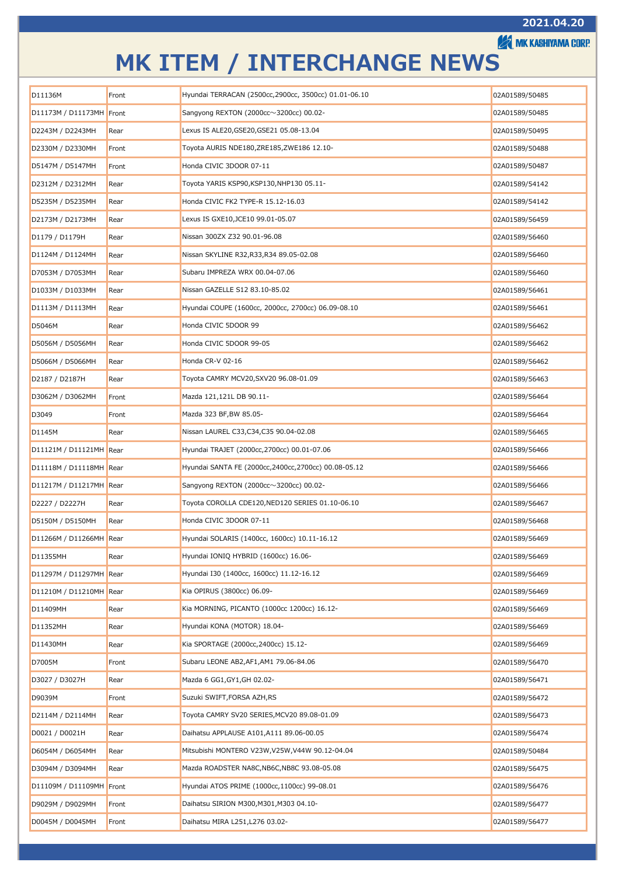**A MK KASHIYAMA CORP.** 

| D11136M                  | Front | Hyundai TERRACAN (2500cc, 2900cc, 3500cc) 01.01-06.10 | 02A01589/50485 |
|--------------------------|-------|-------------------------------------------------------|----------------|
| D11173M / D11173MH Front |       | Sangyong REXTON (2000cc $\sim$ 3200cc) 00.02-         | 02A01589/50485 |
| D2243M / D2243MH         | Rear  | Lexus IS ALE20, GSE20, GSE21 05.08-13.04              | 02A01589/50495 |
| D2330M / D2330MH         | Front | Toyota AURIS NDE180,ZRE185,ZWE186 12.10-              | 02A01589/50488 |
| D5147M / D5147MH         | Front | Honda CIVIC 3DOOR 07-11                               | 02A01589/50487 |
| D2312M / D2312MH         | Rear  | Toyota YARIS KSP90,KSP130,NHP130 05.11-               | 02A01589/54142 |
| D5235M / D5235MH         | Rear  | Honda CIVIC FK2 TYPE-R 15.12-16.03                    | 02A01589/54142 |
| D2173M / D2173MH         | Rear  | Lexus IS GXE10, JCE10 99.01-05.07                     | 02A01589/56459 |
| D1179 / D1179H           | Rear  | Nissan 300ZX Z32 90.01-96.08                          | 02A01589/56460 |
| D1124M / D1124MH         | Rear  | Nissan SKYLINE R32,R33,R34 89.05-02.08                | 02A01589/56460 |
| D7053M / D7053MH         | Rear  | Subaru IMPREZA WRX 00.04-07.06                        | 02A01589/56460 |
| D1033M / D1033MH         | Rear  | Nissan GAZELLE S12 83.10-85.02                        | 02A01589/56461 |
| D1113M / D1113MH         | Rear  | Hyundai COUPE (1600cc, 2000cc, 2700cc) 06.09-08.10    | 02A01589/56461 |
| D5046M                   | Rear  | Honda CIVIC 5DOOR 99                                  | 02A01589/56462 |
| D5056M / D5056MH         | Rear  | Honda CIVIC 5DOOR 99-05                               | 02A01589/56462 |
| D5066M / D5066MH         | Rear  | Honda CR-V 02-16                                      | 02A01589/56462 |
| D2187 / D2187H           | Rear  | Toyota CAMRY MCV20,SXV20 96.08-01.09                  | 02A01589/56463 |
| D3062M / D3062MH         | Front | Mazda 121,121L DB 90.11-                              | 02A01589/56464 |
| D3049                    | Front | Mazda 323 BF,BW 85.05-                                | 02A01589/56464 |
| D1145M                   | Rear  | Nissan LAUREL C33,C34,C35 90.04-02.08                 | 02A01589/56465 |
| D11121M / D11121MH Rear  |       | Hyundai TRAJET (2000cc, 2700cc) 00.01-07.06           | 02A01589/56466 |
| D11118M / D11118MH Rear  |       | Hyundai SANTA FE (2000cc,2400cc,2700cc) 00.08-05.12   | 02A01589/56466 |
| D11217M / D11217MH Rear  |       | Sangyong REXTON (2000cc $\sim$ 3200cc) 00.02-         | 02A01589/56466 |
| D2227 / D2227H           | Rear  | Toyota COROLLA CDE120, NED120 SERIES 01.10-06.10      | 02A01589/56467 |
| D5150M / D5150MH         | Rear  | Honda CIVIC 3DOOR 07-11                               | 02A01589/56468 |
| D11266M / D11266MH Rear  |       | Hyundai SOLARIS (1400cc, 1600cc) 10.11-16.12          | 02A01589/56469 |
| D11355MH                 | Rear  | Hyundai IONIQ HYBRID (1600cc) 16.06-                  | 02A01589/56469 |
| D11297M / D11297MH Rear  |       | Hyundai I30 (1400cc, 1600cc) 11.12-16.12              | 02A01589/56469 |
| D11210M / D11210MH Rear  |       | Kia OPIRUS (3800cc) 06.09-                            | 02A01589/56469 |
| D11409MH                 | Rear  | Kia MORNING, PICANTO (1000cc 1200cc) 16.12-           | 02A01589/56469 |
| D11352MH                 | Rear  | Hyundai KONA (MOTOR) 18.04-                           | 02A01589/56469 |
| D11430MH                 | Rear  | Kia SPORTAGE (2000cc, 2400cc) 15.12-                  | 02A01589/56469 |
| D7005M                   | Front | Subaru LEONE AB2, AF1, AM1 79.06-84.06                | 02A01589/56470 |
| D3027 / D3027H           | Rear  | Mazda 6 GG1, GY1, GH 02.02-                           | 02A01589/56471 |
| D9039M                   | Front | Suzuki SWIFT, FORSA AZH, RS                           | 02A01589/56472 |
| D2114M / D2114MH         | Rear  | Toyota CAMRY SV20 SERIES, MCV20 89.08-01.09           | 02A01589/56473 |
| D0021 / D0021H           | Rear  | Daihatsu APPLAUSE A101, A111 89.06-00.05              | 02A01589/56474 |
| D6054M / D6054MH         | Rear  | Mitsubishi MONTERO V23W, V25W, V44W 90.12-04.04       | 02A01589/50484 |
| D3094M / D3094MH         | Rear  | Mazda ROADSTER NA8C, NB6C, NB8C 93.08-05.08           | 02A01589/56475 |
| D11109M / D11109MH Front |       | Hyundai ATOS PRIME (1000cc, 1100cc) 99-08.01          | 02A01589/56476 |
| D9029M / D9029MH         | Front | Daihatsu SIRION M300, M301, M303 04.10-               | 02A01589/56477 |
| D0045M / D0045MH         | Front | Daihatsu MIRA L251, L276 03.02-                       | 02A01589/56477 |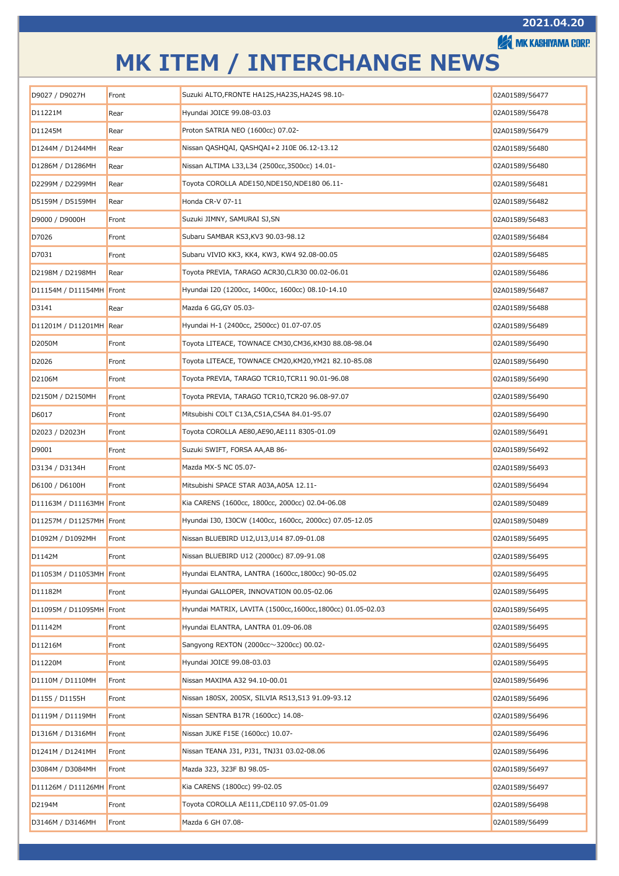**A MK KASHIYAMA CORP.** 

| D9027 / D9027H           | Front | Suzuki ALTO, FRONTE HA12S, HA23S, HA24S 98.10-            | 02A01589/56477 |
|--------------------------|-------|-----------------------------------------------------------|----------------|
| D11221M                  | Rear  | Hyundai JOICE 99.08-03.03                                 | 02A01589/56478 |
| D11245M                  | Rear  | Proton SATRIA NEO (1600cc) 07.02-                         | 02A01589/56479 |
| D1244M / D1244MH         | Rear  | Nissan QASHQAI, QASHQAI+2 J10E 06.12-13.12                | 02A01589/56480 |
| D1286M / D1286MH         | Rear  | Nissan ALTIMA L33,L34 (2500cc,3500cc) 14.01-              | 02A01589/56480 |
| D2299M / D2299MH         | Rear  | Toyota COROLLA ADE150, NDE150, NDE180 06.11-              | 02A01589/56481 |
| D5159M / D5159MH         | Rear  | Honda CR-V 07-11                                          | 02A01589/56482 |
| D9000 / D9000H           | Front | Suzuki JIMNY, SAMURAI SJ,SN                               | 02A01589/56483 |
| D7026                    | Front | Subaru SAMBAR KS3,KV3 90.03-98.12                         | 02A01589/56484 |
| D7031                    | Front | Subaru VIVIO KK3, KK4, KW3, KW4 92.08-00.05               | 02A01589/56485 |
| D2198M / D2198MH         | Rear  | Toyota PREVIA, TARAGO ACR30,CLR30 00.02-06.01             | 02A01589/56486 |
| D11154M / D11154MH Front |       | Hyundai I20 (1200cc, 1400cc, 1600cc) 08.10-14.10          | 02A01589/56487 |
| D3141                    | Rear  | Mazda 6 GG, GY 05.03-                                     | 02A01589/56488 |
| D11201M / D11201MH Rear  |       | Hyundai H-1 (2400cc, 2500cc) 01.07-07.05                  | 02A01589/56489 |
| D2050M                   | Front | Toyota LITEACE, TOWNACE CM30,CM36,KM30 88.08-98.04        | 02A01589/56490 |
| D2026                    | Front | Toyota LITEACE, TOWNACE CM20,KM20,YM21 82.10-85.08        | 02A01589/56490 |
| D2106M                   | Front | Toyota PREVIA, TARAGO TCR10, TCR11 90.01-96.08            | 02A01589/56490 |
| D2150M / D2150MH         | Front | Toyota PREVIA, TARAGO TCR10,TCR20 96.08-97.07             | 02A01589/56490 |
| D6017                    | Front | Mitsubishi COLT C13A,C51A,C54A 84.01-95.07                | 02A01589/56490 |
| D2023 / D2023H           | Front | Toyota COROLLA AE80, AE90, AE111 8305-01.09               | 02A01589/56491 |
| D9001                    | Front | Suzuki SWIFT, FORSA AA,AB 86-                             | 02A01589/56492 |
| D3134 / D3134H           | Front | Mazda MX-5 NC 05.07-                                      | 02A01589/56493 |
| D6100 / D6100H           | Front | Mitsubishi SPACE STAR A03A, A05A 12.11-                   | 02A01589/56494 |
| D11163M / D11163MH Front |       | Kia CARENS (1600cc, 1800cc, 2000cc) 02.04-06.08           | 02A01589/50489 |
| D11257M / D11257MH Front |       | Hyundai I30, I30CW (1400cc, 1600cc, 2000cc) 07.05-12.05   | 02A01589/50489 |
| D1092M / D1092MH         | Front | Nissan BLUEBIRD U12, U13, U14 87.09-01.08                 | 02A01589/56495 |
| D1142M                   | Front | Nissan BLUEBIRD U12 (2000cc) 87.09-91.08                  | 02A01589/56495 |
| D11053M / D11053MH Front |       | Hyundai ELANTRA, LANTRA (1600cc,1800cc) 90-05.02          | 02A01589/56495 |
| D11182M                  | Front | Hyundai GALLOPER, INNOVATION 00.05-02.06                  | 02A01589/56495 |
| D11095M / D11095MH Front |       | Hyundai MATRIX, LAVITA (1500cc,1600cc,1800cc) 01.05-02.03 | 02A01589/56495 |
| D11142M                  | Front | Hyundai ELANTRA, LANTRA 01.09-06.08                       | 02A01589/56495 |
| D11216M                  | Front | Sangyong REXTON (2000cc $\sim$ 3200cc) 00.02-             | 02A01589/56495 |
| D11220M                  | Front | Hyundai JOICE 99.08-03.03                                 | 02A01589/56495 |
| D1110M / D1110MH         | Front | Nissan MAXIMA A32 94.10-00.01                             | 02A01589/56496 |
| D1155 / D1155H           | Front | Nissan 180SX, 200SX, SILVIA RS13,S13 91.09-93.12          | 02A01589/56496 |
| D1119M / D1119MH         | Front | Nissan SENTRA B17R (1600cc) 14.08-                        | 02A01589/56496 |
| D1316M / D1316MH         | Front | Nissan JUKE F15E (1600cc) 10.07-                          | 02A01589/56496 |
| D1241M / D1241MH         | Front | Nissan TEANA J31, PJ31, TNJ31 03.02-08.06                 | 02A01589/56496 |
| D3084M / D3084MH         | Front | Mazda 323, 323F BJ 98.05-                                 | 02A01589/56497 |
| D11126M / D11126MH Front |       | Kia CARENS (1800cc) 99-02.05                              | 02A01589/56497 |
| D2194M                   | Front | Toyota COROLLA AE111, CDE110 97.05-01.09                  | 02A01589/56498 |
| D3146M / D3146MH         | Front | Mazda 6 GH 07.08-                                         | 02A01589/56499 |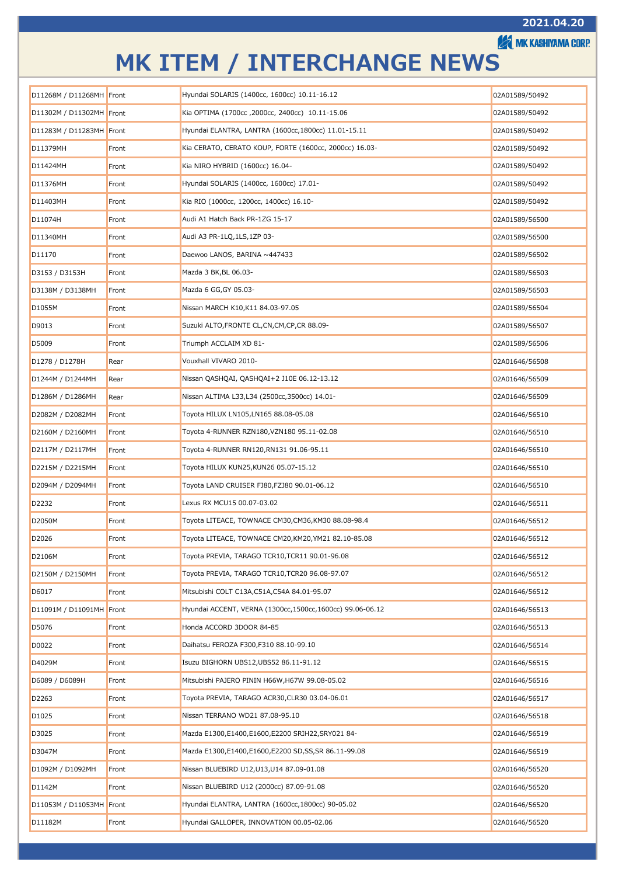**EXAMIK KASHIYAMA CORP.** 

| D11268M / D11268MH Front |       | Hyundai SOLARIS (1400cc, 1600cc) 10.11-16.12             | 02A01589/50492 |
|--------------------------|-------|----------------------------------------------------------|----------------|
| D11302M / D11302MH Front |       | Kia OPTIMA (1700cc, 2000cc, 2400cc) 10.11-15.06          | 02A01589/50492 |
| D11283M / D11283MH Front |       | Hyundai ELANTRA, LANTRA (1600cc, 1800cc) 11.01-15.11     | 02A01589/50492 |
| D11379MH                 | Front | Kia CERATO, CERATO KOUP, FORTE (1600cc, 2000cc) 16.03-   | 02A01589/50492 |
| D11424MH                 | Front | Kia NIRO HYBRID (1600cc) 16.04-                          | 02A01589/50492 |
| D11376MH                 | Front | Hyundai SOLARIS (1400cc, 1600cc) 17.01-                  | 02A01589/50492 |
| D11403MH                 | Front | Kia RIO (1000cc, 1200cc, 1400cc) 16.10-                  | 02A01589/50492 |
| D11074H                  | Front | Audi A1 Hatch Back PR-1ZG 15-17                          | 02A01589/56500 |
| D11340MH                 | Front | Audi A3 PR-1LQ, 1LS, 1ZP 03-                             | 02A01589/56500 |
| D11170                   | Front | Daewoo LANOS, BARINA ~447433                             | 02A01589/56502 |
| D3153 / D3153H           | Front | Mazda 3 BK, BL 06.03-                                    | 02A01589/56503 |
| D3138M / D3138MH         | Front | Mazda 6 GG, GY 05.03-                                    | 02A01589/56503 |
| D1055M                   | Front | Nissan MARCH K10,K11 84.03-97.05                         | 02A01589/56504 |
| D9013                    | Front | Suzuki ALTO, FRONTE CL, CN, CM, CP, CR 88.09-            | 02A01589/56507 |
| D5009                    | Front | Triumph ACCLAIM XD 81-                                   | 02A01589/56506 |
| D1278 / D1278H           | Rear  | Vouxhall VIVARO 2010-                                    | 02A01646/56508 |
| D1244M / D1244MH         | Rear  | Nissan QASHQAI, QASHQAI+2 J10E 06.12-13.12               | 02A01646/56509 |
| D1286M / D1286MH         | Rear  | Nissan ALTIMA L33,L34 (2500cc,3500cc) 14.01-             | 02A01646/56509 |
| D2082M / D2082MH         | Front | Toyota HILUX LN105,LN165 88.08-05.08                     | 02A01646/56510 |
| D2160M / D2160MH         | Front | Toyota 4-RUNNER RZN180,VZN180 95.11-02.08                | 02A01646/56510 |
| D2117M / D2117MH         | Front | Toyota 4-RUNNER RN120,RN131 91.06-95.11                  | 02A01646/56510 |
| D2215M / D2215MH         | Front | Toyota HILUX KUN25,KUN26 05.07-15.12                     | 02A01646/56510 |
| D2094M / D2094MH         | Front | Toyota LAND CRUISER FJ80,FZJ80 90.01-06.12               | 02A01646/56510 |
| D2232                    | Front | Lexus RX MCU15 00.07-03.02                               | 02A01646/56511 |
| D2050M                   | Front | Toyota LITEACE, TOWNACE CM30,CM36,KM30 88.08-98.4        | 02A01646/56512 |
| D2026                    | Front | Toyota LITEACE, TOWNACE CM20,KM20,YM21 82.10-85.08       | 02A01646/56512 |
| D2106M                   | Front | Toyota PREVIA, TARAGO TCR10, TCR11 90.01-96.08           | 02A01646/56512 |
| D2150M / D2150MH         | Front | Toyota PREVIA, TARAGO TCR10,TCR20 96.08-97.07            | 02A01646/56512 |
| D6017                    | Front | Mitsubishi COLT C13A,C51A,C54A 84.01-95.07               | 02A01646/56512 |
| D11091M / D11091MH Front |       | Hyundai ACCENT, VERNA (1300cc,1500cc,1600cc) 99.06-06.12 | 02A01646/56513 |
| D5076                    | Front | Honda ACCORD 3DOOR 84-85                                 | 02A01646/56513 |
| D0022                    | Front | Daihatsu FEROZA F300, F310 88.10-99.10                   | 02A01646/56514 |
| D4029M                   | Front | Isuzu BIGHORN UBS12, UBS52 86.11-91.12                   | 02A01646/56515 |
| D6089 / D6089H           | Front | Mitsubishi PAJERO PININ H66W,H67W 99.08-05.02            | 02A01646/56516 |
| D2263                    | Front | Toyota PREVIA, TARAGO ACR30,CLR30 03.04-06.01            | 02A01646/56517 |
| D1025                    | Front | Nissan TERRANO WD21 87.08-95.10                          | 02A01646/56518 |
| D3025                    | Front | Mazda E1300,E1400,E1600,E2200 SRIH22,SRY021 84-          | 02A01646/56519 |
| D3047M                   | Front | Mazda E1300,E1400,E1600,E2200 SD,SS,SR 86.11-99.08       | 02A01646/56519 |
| D1092M / D1092MH         | Front | Nissan BLUEBIRD U12, U13, U14 87.09-01.08                | 02A01646/56520 |
| D1142M                   | Front | Nissan BLUEBIRD U12 (2000cc) 87.09-91.08                 | 02A01646/56520 |
| D11053M / D11053MH Front |       | Hyundai ELANTRA, LANTRA (1600cc,1800cc) 90-05.02         | 02A01646/56520 |
| D11182M                  | Front | Hyundai GALLOPER, INNOVATION 00.05-02.06                 | 02A01646/56520 |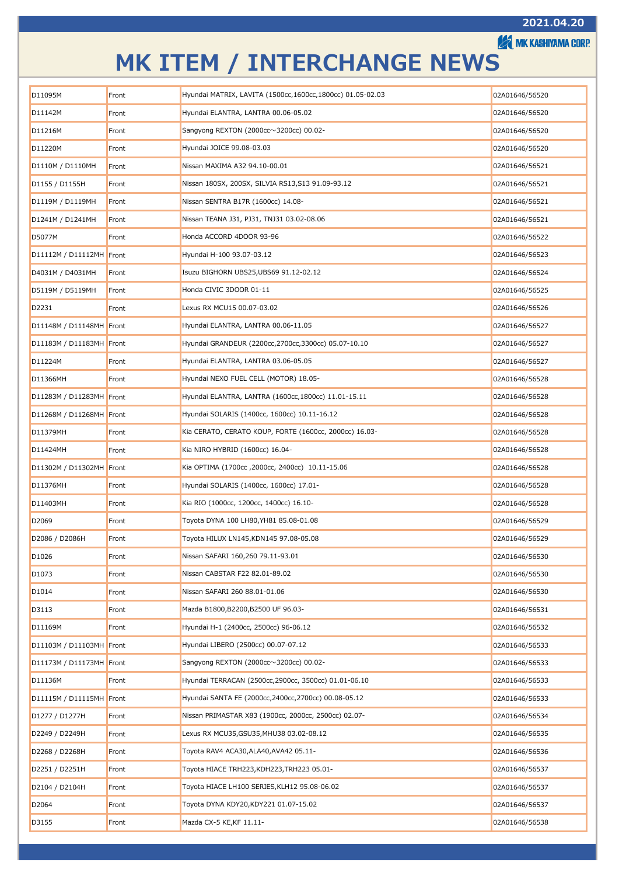**A MK KASHIYAMA CORP.** 

| D11095M<br>Hyundai MATRIX, LAVITA (1500cc,1600cc,1800cc) 01.05-02.03<br>Front<br>02A01646/56520<br>Hyundai ELANTRA, LANTRA 00.06-05.02<br>D11142M<br>Front<br>02A01646/56520<br>Sangyong REXTON (2000cc $\sim$ 3200cc) 00.02-<br>D11216M<br>Front<br>02A01646/56520<br>Hyundai JOICE 99.08-03.03<br>D11220M<br>02A01646/56520<br>Front<br>D1110M / D1110MH<br>Nissan MAXIMA A32 94.10-00.01<br>02A01646/56521<br>Front<br>Nissan 180SX, 200SX, SILVIA RS13,S13 91.09-93.12<br>D1155 / D1155H<br>Front<br>02A01646/56521<br>Nissan SENTRA B17R (1600cc) 14.08-<br>D1119M / D1119MH<br>02A01646/56521<br>Front<br>Nissan TEANA J31, PJ31, TNJ31 03.02-08.06<br>D1241M / D1241MH<br>Front<br>02A01646/56521<br>D5077M<br>Honda ACCORD 4DOOR 93-96<br>02A01646/56522<br>Front<br>Hyundai H-100 93.07-03.12<br>D11112M / D11112MH Front<br>02A01646/56523<br>Isuzu BIGHORN UBS25,UBS69 91.12-02.12<br>D4031M / D4031MH<br>Front<br>02A01646/56524<br>Honda CIVIC 3DOOR 01-11<br>D5119M / D5119MH<br>02A01646/56525<br>Front<br>Lexus RX MCU15 00.07-03.02<br>D2231<br>Front<br>02A01646/56526<br>Hyundai ELANTRA, LANTRA 00.06-11.05<br>D11148M / D11148MH Front<br>02A01646/56527<br>Hyundai GRANDEUR (2200cc, 2700cc, 3300cc) 05.07-10.10<br>D11183M / D11183MH Front<br>02A01646/56527<br>Hyundai ELANTRA, LANTRA 03.06-05.05<br>D11224M<br>Front<br>02A01646/56527<br>Hyundai NEXO FUEL CELL (MOTOR) 18.05-<br>D11366MH<br>Front<br>02A01646/56528 |  |  |
|---------------------------------------------------------------------------------------------------------------------------------------------------------------------------------------------------------------------------------------------------------------------------------------------------------------------------------------------------------------------------------------------------------------------------------------------------------------------------------------------------------------------------------------------------------------------------------------------------------------------------------------------------------------------------------------------------------------------------------------------------------------------------------------------------------------------------------------------------------------------------------------------------------------------------------------------------------------------------------------------------------------------------------------------------------------------------------------------------------------------------------------------------------------------------------------------------------------------------------------------------------------------------------------------------------------------------------------------------------------------------------------------------------------------------------------------------|--|--|
|                                                                                                                                                                                                                                                                                                                                                                                                                                                                                                                                                                                                                                                                                                                                                                                                                                                                                                                                                                                                                                                                                                                                                                                                                                                                                                                                                                                                                                                   |  |  |
|                                                                                                                                                                                                                                                                                                                                                                                                                                                                                                                                                                                                                                                                                                                                                                                                                                                                                                                                                                                                                                                                                                                                                                                                                                                                                                                                                                                                                                                   |  |  |
|                                                                                                                                                                                                                                                                                                                                                                                                                                                                                                                                                                                                                                                                                                                                                                                                                                                                                                                                                                                                                                                                                                                                                                                                                                                                                                                                                                                                                                                   |  |  |
|                                                                                                                                                                                                                                                                                                                                                                                                                                                                                                                                                                                                                                                                                                                                                                                                                                                                                                                                                                                                                                                                                                                                                                                                                                                                                                                                                                                                                                                   |  |  |
|                                                                                                                                                                                                                                                                                                                                                                                                                                                                                                                                                                                                                                                                                                                                                                                                                                                                                                                                                                                                                                                                                                                                                                                                                                                                                                                                                                                                                                                   |  |  |
|                                                                                                                                                                                                                                                                                                                                                                                                                                                                                                                                                                                                                                                                                                                                                                                                                                                                                                                                                                                                                                                                                                                                                                                                                                                                                                                                                                                                                                                   |  |  |
|                                                                                                                                                                                                                                                                                                                                                                                                                                                                                                                                                                                                                                                                                                                                                                                                                                                                                                                                                                                                                                                                                                                                                                                                                                                                                                                                                                                                                                                   |  |  |
|                                                                                                                                                                                                                                                                                                                                                                                                                                                                                                                                                                                                                                                                                                                                                                                                                                                                                                                                                                                                                                                                                                                                                                                                                                                                                                                                                                                                                                                   |  |  |
|                                                                                                                                                                                                                                                                                                                                                                                                                                                                                                                                                                                                                                                                                                                                                                                                                                                                                                                                                                                                                                                                                                                                                                                                                                                                                                                                                                                                                                                   |  |  |
|                                                                                                                                                                                                                                                                                                                                                                                                                                                                                                                                                                                                                                                                                                                                                                                                                                                                                                                                                                                                                                                                                                                                                                                                                                                                                                                                                                                                                                                   |  |  |
|                                                                                                                                                                                                                                                                                                                                                                                                                                                                                                                                                                                                                                                                                                                                                                                                                                                                                                                                                                                                                                                                                                                                                                                                                                                                                                                                                                                                                                                   |  |  |
|                                                                                                                                                                                                                                                                                                                                                                                                                                                                                                                                                                                                                                                                                                                                                                                                                                                                                                                                                                                                                                                                                                                                                                                                                                                                                                                                                                                                                                                   |  |  |
|                                                                                                                                                                                                                                                                                                                                                                                                                                                                                                                                                                                                                                                                                                                                                                                                                                                                                                                                                                                                                                                                                                                                                                                                                                                                                                                                                                                                                                                   |  |  |
|                                                                                                                                                                                                                                                                                                                                                                                                                                                                                                                                                                                                                                                                                                                                                                                                                                                                                                                                                                                                                                                                                                                                                                                                                                                                                                                                                                                                                                                   |  |  |
|                                                                                                                                                                                                                                                                                                                                                                                                                                                                                                                                                                                                                                                                                                                                                                                                                                                                                                                                                                                                                                                                                                                                                                                                                                                                                                                                                                                                                                                   |  |  |
|                                                                                                                                                                                                                                                                                                                                                                                                                                                                                                                                                                                                                                                                                                                                                                                                                                                                                                                                                                                                                                                                                                                                                                                                                                                                                                                                                                                                                                                   |  |  |
|                                                                                                                                                                                                                                                                                                                                                                                                                                                                                                                                                                                                                                                                                                                                                                                                                                                                                                                                                                                                                                                                                                                                                                                                                                                                                                                                                                                                                                                   |  |  |
| Hyundai ELANTRA, LANTRA (1600cc, 1800cc) 11.01-15.11<br>D11283M / D11283MH Front<br>02A01646/56528                                                                                                                                                                                                                                                                                                                                                                                                                                                                                                                                                                                                                                                                                                                                                                                                                                                                                                                                                                                                                                                                                                                                                                                                                                                                                                                                                |  |  |
| Hyundai SOLARIS (1400cc, 1600cc) 10.11-16.12<br>D11268M / D11268MH Front<br>02A01646/56528                                                                                                                                                                                                                                                                                                                                                                                                                                                                                                                                                                                                                                                                                                                                                                                                                                                                                                                                                                                                                                                                                                                                                                                                                                                                                                                                                        |  |  |
| Kia CERATO, CERATO KOUP, FORTE (1600cc, 2000cc) 16.03-<br>D11379MH<br>02A01646/56528<br>Front                                                                                                                                                                                                                                                                                                                                                                                                                                                                                                                                                                                                                                                                                                                                                                                                                                                                                                                                                                                                                                                                                                                                                                                                                                                                                                                                                     |  |  |
| Kia NIRO HYBRID (1600cc) 16.04-<br>D11424MH<br>02A01646/56528<br>Front                                                                                                                                                                                                                                                                                                                                                                                                                                                                                                                                                                                                                                                                                                                                                                                                                                                                                                                                                                                                                                                                                                                                                                                                                                                                                                                                                                            |  |  |
| Kia OPTIMA (1700cc, 2000cc, 2400cc) 10.11-15.06<br>D11302M / D11302MH Front<br>02A01646/56528                                                                                                                                                                                                                                                                                                                                                                                                                                                                                                                                                                                                                                                                                                                                                                                                                                                                                                                                                                                                                                                                                                                                                                                                                                                                                                                                                     |  |  |
| Hyundai SOLARIS (1400cc, 1600cc) 17.01-<br>D11376MH<br>02A01646/56528<br>Front                                                                                                                                                                                                                                                                                                                                                                                                                                                                                                                                                                                                                                                                                                                                                                                                                                                                                                                                                                                                                                                                                                                                                                                                                                                                                                                                                                    |  |  |
| Kia RIO (1000cc, 1200cc, 1400cc) 16.10-<br>D11403MH<br>02A01646/56528<br>Front                                                                                                                                                                                                                                                                                                                                                                                                                                                                                                                                                                                                                                                                                                                                                                                                                                                                                                                                                                                                                                                                                                                                                                                                                                                                                                                                                                    |  |  |
| D2069<br>Toyota DYNA 100 LH80, YH81 85.08-01.08<br>Front<br>02A01646/56529                                                                                                                                                                                                                                                                                                                                                                                                                                                                                                                                                                                                                                                                                                                                                                                                                                                                                                                                                                                                                                                                                                                                                                                                                                                                                                                                                                        |  |  |
| D2086 / D2086H<br>Toyota HILUX LN145,KDN145 97.08-05.08<br>02A01646/56529<br>Front                                                                                                                                                                                                                                                                                                                                                                                                                                                                                                                                                                                                                                                                                                                                                                                                                                                                                                                                                                                                                                                                                                                                                                                                                                                                                                                                                                |  |  |
| Front<br>D1026<br>Nissan SAFARI 160,260 79.11-93.01<br>02A01646/56530                                                                                                                                                                                                                                                                                                                                                                                                                                                                                                                                                                                                                                                                                                                                                                                                                                                                                                                                                                                                                                                                                                                                                                                                                                                                                                                                                                             |  |  |
| D <sub>1073</sub><br>Nissan CABSTAR F22 82.01-89.02<br>02A01646/56530<br>Front                                                                                                                                                                                                                                                                                                                                                                                                                                                                                                                                                                                                                                                                                                                                                                                                                                                                                                                                                                                                                                                                                                                                                                                                                                                                                                                                                                    |  |  |
| Nissan SAFARI 260 88.01-01.06<br>D1014<br>02A01646/56530<br>Front                                                                                                                                                                                                                                                                                                                                                                                                                                                                                                                                                                                                                                                                                                                                                                                                                                                                                                                                                                                                                                                                                                                                                                                                                                                                                                                                                                                 |  |  |
| Mazda B1800, B2200, B2500 UF 96.03-<br>D3113<br>Front<br>02A01646/56531                                                                                                                                                                                                                                                                                                                                                                                                                                                                                                                                                                                                                                                                                                                                                                                                                                                                                                                                                                                                                                                                                                                                                                                                                                                                                                                                                                           |  |  |
| D11169M<br>Hyundai H-1 (2400cc, 2500cc) 96-06.12<br>02A01646/56532<br>Front                                                                                                                                                                                                                                                                                                                                                                                                                                                                                                                                                                                                                                                                                                                                                                                                                                                                                                                                                                                                                                                                                                                                                                                                                                                                                                                                                                       |  |  |
| Hyundai LIBERO (2500cc) 00.07-07.12<br>D11103M / D11103MH Front<br>02A01646/56533                                                                                                                                                                                                                                                                                                                                                                                                                                                                                                                                                                                                                                                                                                                                                                                                                                                                                                                                                                                                                                                                                                                                                                                                                                                                                                                                                                 |  |  |
| Sangyong REXTON (2000cc $\sim$ 3200cc) 00.02-<br>D11173M / D11173MH Front<br>02A01646/56533                                                                                                                                                                                                                                                                                                                                                                                                                                                                                                                                                                                                                                                                                                                                                                                                                                                                                                                                                                                                                                                                                                                                                                                                                                                                                                                                                       |  |  |
| Hyundai TERRACAN (2500cc, 2900cc, 3500cc) 01.01-06.10<br>D11136M<br>02A01646/56533<br>Front                                                                                                                                                                                                                                                                                                                                                                                                                                                                                                                                                                                                                                                                                                                                                                                                                                                                                                                                                                                                                                                                                                                                                                                                                                                                                                                                                       |  |  |
| Hyundai SANTA FE (2000cc,2400cc,2700cc) 00.08-05.12<br>D11115M / D11115MH Front<br>02A01646/56533                                                                                                                                                                                                                                                                                                                                                                                                                                                                                                                                                                                                                                                                                                                                                                                                                                                                                                                                                                                                                                                                                                                                                                                                                                                                                                                                                 |  |  |
| D1277 / D1277H<br>Nissan PRIMASTAR X83 (1900cc, 2000cc, 2500cc) 02.07-<br>Front<br>02A01646/56534                                                                                                                                                                                                                                                                                                                                                                                                                                                                                                                                                                                                                                                                                                                                                                                                                                                                                                                                                                                                                                                                                                                                                                                                                                                                                                                                                 |  |  |
| Lexus RX MCU35,GSU35,MHU38 03.02-08.12<br>D2249 / D2249H<br>02A01646/56535<br>Front                                                                                                                                                                                                                                                                                                                                                                                                                                                                                                                                                                                                                                                                                                                                                                                                                                                                                                                                                                                                                                                                                                                                                                                                                                                                                                                                                               |  |  |
| Toyota RAV4 ACA30,ALA40,AVA42 05.11-<br>D2268 / D2268H<br>Front<br>02A01646/56536                                                                                                                                                                                                                                                                                                                                                                                                                                                                                                                                                                                                                                                                                                                                                                                                                                                                                                                                                                                                                                                                                                                                                                                                                                                                                                                                                                 |  |  |
| Toyota HIACE TRH223,KDH223,TRH223 05.01-<br>D2251 / D2251H<br>Front<br>02A01646/56537                                                                                                                                                                                                                                                                                                                                                                                                                                                                                                                                                                                                                                                                                                                                                                                                                                                                                                                                                                                                                                                                                                                                                                                                                                                                                                                                                             |  |  |
| Toyota HIACE LH100 SERIES, KLH12 95.08-06.02<br>D2104 / D2104H<br>Front<br>02A01646/56537                                                                                                                                                                                                                                                                                                                                                                                                                                                                                                                                                                                                                                                                                                                                                                                                                                                                                                                                                                                                                                                                                                                                                                                                                                                                                                                                                         |  |  |
| Toyota DYNA KDY20,KDY221 01.07-15.02<br>D2064<br>Front<br>02A01646/56537                                                                                                                                                                                                                                                                                                                                                                                                                                                                                                                                                                                                                                                                                                                                                                                                                                                                                                                                                                                                                                                                                                                                                                                                                                                                                                                                                                          |  |  |
| D3155<br>Mazda CX-5 KE,KF 11.11-<br>02A01646/56538<br>Front                                                                                                                                                                                                                                                                                                                                                                                                                                                                                                                                                                                                                                                                                                                                                                                                                                                                                                                                                                                                                                                                                                                                                                                                                                                                                                                                                                                       |  |  |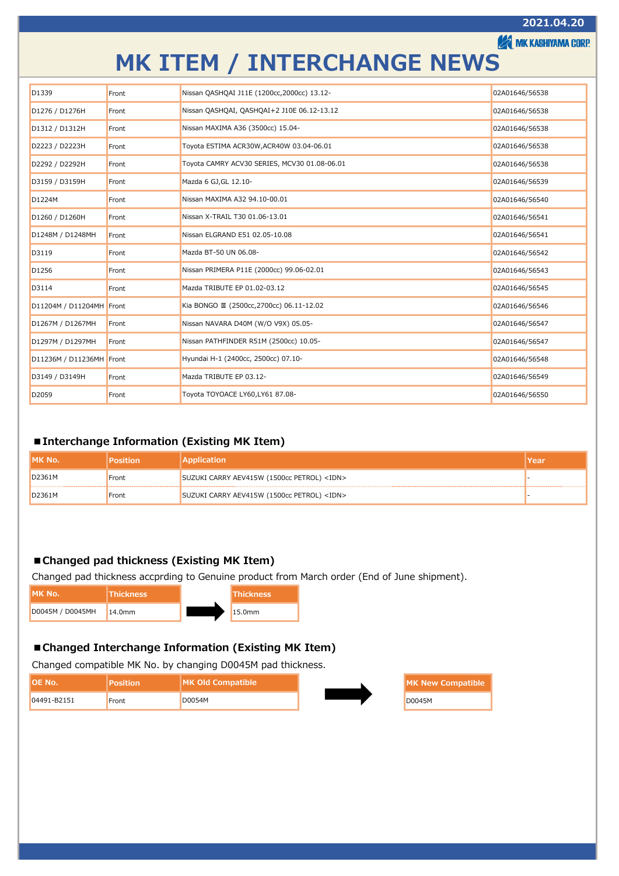#### **AMK KASHIYAMA CORP.**

### **MK ITEM / INTERCHANGE NEWS**

| D <sub>1339</sub>        | Front | Nissan QASHQAI J11E (1200cc, 2000cc) 13.12-  | 02A01646/56538 |
|--------------------------|-------|----------------------------------------------|----------------|
| D1276 / D1276H           | Front | Nissan QASHQAI, QASHQAI+2 J10E 06.12-13.12   | 02A01646/56538 |
| D1312 / D1312H           | Front | Nissan MAXIMA A36 (3500cc) 15.04-            | 02A01646/56538 |
| D2223 / D2223H           | Front | Toyota ESTIMA ACR30W, ACR40W 03.04-06.01     | 02A01646/56538 |
| D2292 / D2292H           | Front | Toyota CAMRY ACV30 SERIES, MCV30 01.08-06.01 | 02A01646/56538 |
| D3159 / D3159H           | Front | Mazda 6 GJ, GL 12.10-                        | 02A01646/56539 |
| D1224M                   | Front | Nissan MAXIMA A32 94.10-00.01                | 02A01646/56540 |
| D1260 / D1260H           | Front | Nissan X-TRAIL T30 01.06-13.01               | 02A01646/56541 |
| D1248M / D1248MH         | Front | Nissan ELGRAND E51 02.05-10.08               | 02A01646/56541 |
| D3119                    | Front | Mazda BT-50 UN 06.08-                        | 02A01646/56542 |
| D <sub>1256</sub>        | Front | Nissan PRIMERA P11E (2000cc) 99.06-02.01     | 02A01646/56543 |
| D3114                    | Front | Mazda TRIBUTE EP 01.02-03.12                 | 02A01646/56545 |
| D11204M / D11204MH Front |       | Kia BONGO III (2500cc, 2700cc) 06.11-12.02   | 02A01646/56546 |
| D1267M / D1267MH         | Front | Nissan NAVARA D40M (W/O V9X) 05.05-          | 02A01646/56547 |
| D1297M / D1297MH         | Front | Nissan PATHFINDER R51M (2500cc) 10.05-       | 02A01646/56547 |
| D11236M / D11236MH Front |       | Hyundai H-1 (2400cc, 2500cc) 07.10-          | 02A01646/56548 |
| D3149 / D3149H           | Front | Mazda TRIBUTE EP 03.12-                      | 02A01646/56549 |
| D <sub>2059</sub>        | Front | Toyota TOYOACE LY60, LY61 87.08-             | 02A01646/56550 |

#### <span id="page-7-0"></span>**■Interchange Information (Existing MK Item)**

| IIMK No. | osition <sup>'</sup> | <b>Application</b>                               | lYear |
|----------|----------------------|--------------------------------------------------|-------|
| D2361M   | Front                | SUZUKI CARRY AEV415W (1500cc PETROL) <idn></idn> |       |
| D2361M   | Front                | SUZUKI CARRY AEV415W (1500cc PETROL) <idn></idn> |       |

#### <span id="page-7-1"></span>**■Changed pad thickness (Existing MK Item)**

Changed pad thickness accprding to Genuine product from March order (End of June shipment).

| IMK No.          | <b>Thickness</b> | <b>Thickness</b> |
|------------------|------------------|------------------|
| D0045M / D0045MH | 14.0mm           | 15.0mm           |

#### **■Changed Interchange Information (Existing MK Item)**

Changed compatible MK No. by changing D0045M pad thickness.

| IIOE No.    | <b>Position</b> | <b>IMK Old Compatible</b> | MK New Compatible |
|-------------|-----------------|---------------------------|-------------------|
| 04491-B2151 | Front           | D0054M                    | D0045M            |